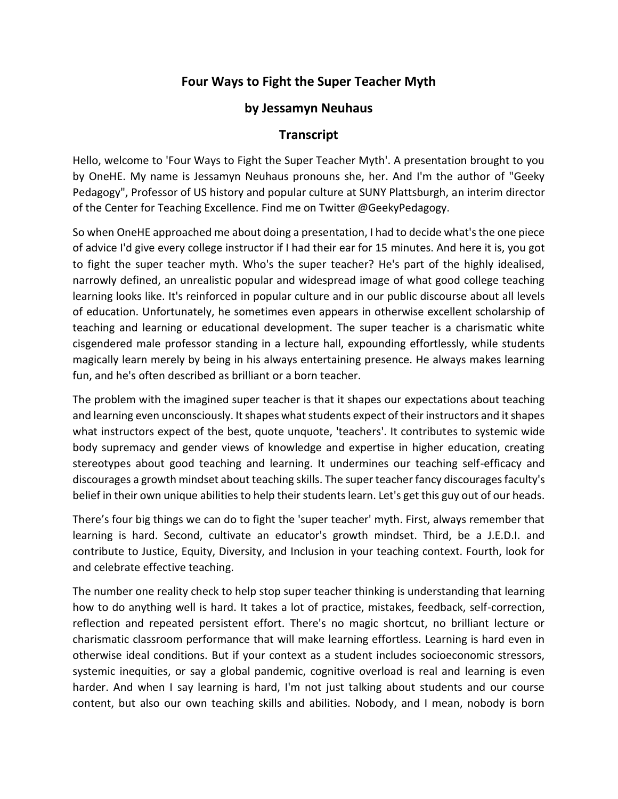## **Four Ways to Fight the Super Teacher Myth**

## **by Jessamyn Neuhaus**

## **Transcript**

Hello, welcome to 'Four Ways to Fight the Super Teacher Myth'. A presentation brought to you by OneHE. My name is Jessamyn Neuhaus pronouns she, her. And I'm the author of "Geeky Pedagogy", Professor of US history and popular culture at SUNY Plattsburgh, an interim director of the Center for Teaching Excellence. Find me on Twitter @GeekyPedagogy.

So when OneHE approached me about doing a presentation, I had to decide what's the one piece of advice I'd give every college instructor if I had their ear for 15 minutes. And here it is, you got to fight the super teacher myth. Who's the super teacher? He's part of the highly idealised, narrowly defined, an unrealistic popular and widespread image of what good college teaching learning looks like. It's reinforced in popular culture and in our public discourse about all levels of education. Unfortunately, he sometimes even appears in otherwise excellent scholarship of teaching and learning or educational development. The super teacher is a charismatic white cisgendered male professor standing in a lecture hall, expounding effortlessly, while students magically learn merely by being in his always entertaining presence. He always makes learning fun, and he's often described as brilliant or a born teacher.

The problem with the imagined super teacher is that it shapes our expectations about teaching and learning even unconsciously. It shapes what students expect of their instructors and it shapes what instructors expect of the best, quote unquote, 'teachers'. It contributes to systemic wide body supremacy and gender views of knowledge and expertise in higher education, creating stereotypes about good teaching and learning. It undermines our teaching self-efficacy and discourages a growth mindset about teaching skills. The super teacher fancy discourages faculty's belief in their own unique abilities to help their students learn. Let's get this guy out of our heads.

There's four big things we can do to fight the 'super teacher' myth. First, always remember that learning is hard. Second, cultivate an educator's growth mindset. Third, be a J.E.D.I. and contribute to Justice, Equity, Diversity, and Inclusion in your teaching context. Fourth, look for and celebrate effective teaching.

The number one reality check to help stop super teacher thinking is understanding that learning how to do anything well is hard. It takes a lot of practice, mistakes, feedback, self-correction, reflection and repeated persistent effort. There's no magic shortcut, no brilliant lecture or charismatic classroom performance that will make learning effortless. Learning is hard even in otherwise ideal conditions. But if your context as a student includes socioeconomic stressors, systemic inequities, or say a global pandemic, cognitive overload is real and learning is even harder. And when I say learning is hard, I'm not just talking about students and our course content, but also our own teaching skills and abilities. Nobody, and I mean, nobody is born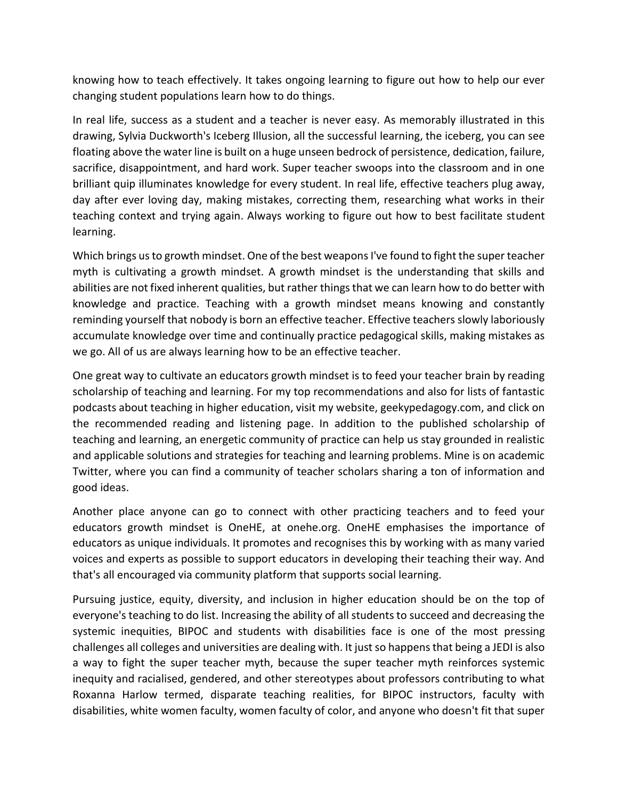knowing how to teach effectively. It takes ongoing learning to figure out how to help our ever changing student populations learn how to do things.

In real life, success as a student and a teacher is never easy. As memorably illustrated in this drawing, Sylvia Duckworth's Iceberg Illusion, all the successful learning, the iceberg, you can see floating above the water line is built on a huge unseen bedrock of persistence, dedication, failure, sacrifice, disappointment, and hard work. Super teacher swoops into the classroom and in one brilliant quip illuminates knowledge for every student. In real life, effective teachers plug away, day after ever loving day, making mistakes, correcting them, researching what works in their teaching context and trying again. Always working to figure out how to best facilitate student learning.

Which brings us to growth mindset. One of the best weapons I've found to fight the super teacher myth is cultivating a growth mindset. A growth mindset is the understanding that skills and abilities are not fixed inherent qualities, but rather things that we can learn how to do better with knowledge and practice. Teaching with a growth mindset means knowing and constantly reminding yourself that nobody is born an effective teacher. Effective teachers slowly laboriously accumulate knowledge over time and continually practice pedagogical skills, making mistakes as we go. All of us are always learning how to be an effective teacher.

One great way to cultivate an educators growth mindset is to feed your teacher brain by reading scholarship of teaching and learning. For my top recommendations and also for lists of fantastic podcasts about teaching in higher education, visit my website, geekypedagogy.com, and click on the recommended reading and listening page. In addition to the published scholarship of teaching and learning, an energetic community of practice can help us stay grounded in realistic and applicable solutions and strategies for teaching and learning problems. Mine is on academic Twitter, where you can find a community of teacher scholars sharing a ton of information and good ideas.

Another place anyone can go to connect with other practicing teachers and to feed your educators growth mindset is OneHE, at onehe.org. OneHE emphasises the importance of educators as unique individuals. It promotes and recognises this by working with as many varied voices and experts as possible to support educators in developing their teaching their way. And that's all encouraged via community platform that supports social learning.

Pursuing justice, equity, diversity, and inclusion in higher education should be on the top of everyone's teaching to do list. Increasing the ability of all students to succeed and decreasing the systemic inequities, BIPOC and students with disabilities face is one of the most pressing challenges all colleges and universities are dealing with. It just so happens that being a JEDI is also a way to fight the super teacher myth, because the super teacher myth reinforces systemic inequity and racialised, gendered, and other stereotypes about professors contributing to what Roxanna Harlow termed, disparate teaching realities, for BIPOC instructors, faculty with disabilities, white women faculty, women faculty of color, and anyone who doesn't fit that super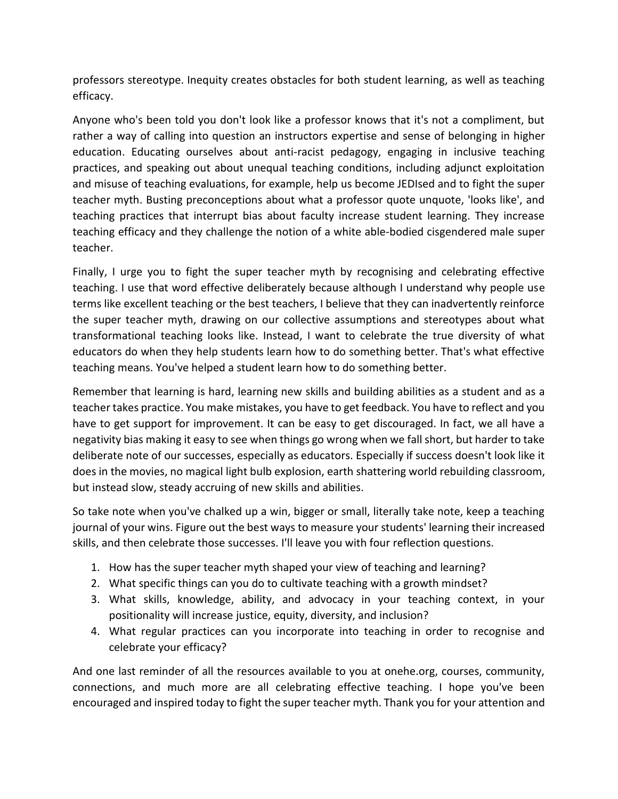professors stereotype. Inequity creates obstacles for both student learning, as well as teaching efficacy.

Anyone who's been told you don't look like a professor knows that it's not a compliment, but rather a way of calling into question an instructors expertise and sense of belonging in higher education. Educating ourselves about anti-racist pedagogy, engaging in inclusive teaching practices, and speaking out about unequal teaching conditions, including adjunct exploitation and misuse of teaching evaluations, for example, help us become JEDIsed and to fight the super teacher myth. Busting preconceptions about what a professor quote unquote, 'looks like', and teaching practices that interrupt bias about faculty increase student learning. They increase teaching efficacy and they challenge the notion of a white able-bodied cisgendered male super teacher.

Finally, I urge you to fight the super teacher myth by recognising and celebrating effective teaching. I use that word effective deliberately because although I understand why people use terms like excellent teaching or the best teachers, I believe that they can inadvertently reinforce the super teacher myth, drawing on our collective assumptions and stereotypes about what transformational teaching looks like. Instead, I want to celebrate the true diversity of what educators do when they help students learn how to do something better. That's what effective teaching means. You've helped a student learn how to do something better.

Remember that learning is hard, learning new skills and building abilities as a student and as a teacher takes practice. You make mistakes, you have to get feedback. You have to reflect and you have to get support for improvement. It can be easy to get discouraged. In fact, we all have a negativity bias making it easy to see when things go wrong when we fall short, but harder to take deliberate note of our successes, especially as educators. Especially if success doesn't look like it does in the movies, no magical light bulb explosion, earth shattering world rebuilding classroom, but instead slow, steady accruing of new skills and abilities.

So take note when you've chalked up a win, bigger or small, literally take note, keep a teaching journal of your wins. Figure out the best ways to measure your students' learning their increased skills, and then celebrate those successes. I'll leave you with four reflection questions.

- 1. How has the super teacher myth shaped your view of teaching and learning?
- 2. What specific things can you do to cultivate teaching with a growth mindset?
- 3. What skills, knowledge, ability, and advocacy in your teaching context, in your positionality will increase justice, equity, diversity, and inclusion?
- 4. What regular practices can you incorporate into teaching in order to recognise and celebrate your efficacy?

And one last reminder of all the resources available to you at onehe.org, courses, community, connections, and much more are all celebrating effective teaching. I hope you've been encouraged and inspired today to fight the super teacher myth. Thank you for your attention and